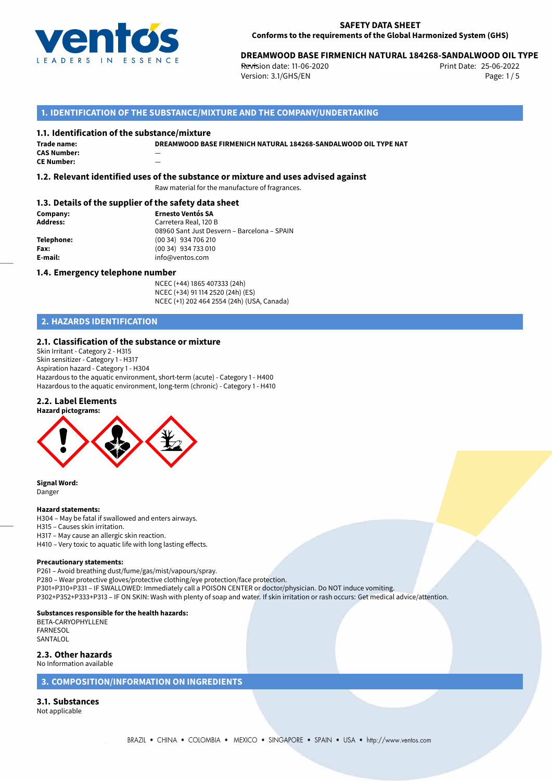

# 25-06-2022 **DREAMWOOD BASE FIRMENICH NATURAL 184268-SANDALWOOD OIL TYPE**

**Revision date: 11-06-2020** Print Date: Version: 3.1/GHS/EN Page: 1 / 5

# **1. IDENTIFICATION OF THE SUBSTANCE/MIXTURE AND THE COMPANY/UNDERTAKING**

#### **1.1. Identification of the substance/mixture**

**DREAMWOOD BASE FIRMENICH NATURAL 184268-SANDALWOOD OIL TYPE NAT**

**Trade name: CAS Number:** — **CE Number:** —

# **1.2. Relevant identified uses of the substance or mixture and uses advised against**

Raw material for the manufacture of fragrances.

#### **1.3. Details of the supplier of the safety data sheet**

**Company: Ernesto Ventós SA Address:** Carretera Real, 120 B 08960 Sant Just Desvern – Barcelona – SPAIN **Telephone:** (00 34) 934 706 210 **Fax:** (00 34) 934 733 010<br> **E-mail: E-mail:** info@ventos.com **E-mail:** info@ventos.com

#### **1.4. Emergency telephone number**

NCEC (+44) 1865 407333 (24h) NCEC (+34) 91 114 2520 (24h) (ES) NCEC (+1) 202 464 2554 (24h) (USA, Canada)

# **2. HAZARDS IDENTIFICATION**

### **2.1. Classification of the substance or mixture**

Skin Irritant - Category 2 - H315 Skin sensitizer - Category 1 - H317 Aspiration hazard - Category 1 - H304 Hazardous to the aquatic environment, short-term (acute) - Category 1 - H400 Hazardous to the aquatic environment, long-term (chronic) - Category 1 - H410

#### **2.2. Label Elements**



**Signal Word:** Danger

#### **Hazard statements:**

H304 – May be fatal if swallowed and enters airways. H315 – Causes skin irritation. H317 – May cause an allergic skin reaction. H410 – Very toxic to aquatic life with long lasting effects.

#### **Precautionary statements:**

P261 – Avoid breathing dust/fume/gas/mist/vapours/spray. P280 – Wear protective gloves/protective clothing/eye protection/face protection. P301+P310+P331 – IF SWALLOWED: Immediately call a POISON CENTER or doctor/physician. Do NOT induce vomiting. P302+P352+P333+P313 – IF ON SKIN: Wash with plenty of soap and water. If skin irritation or rash occurs: Get medical advice/attention.

#### **Substances responsible for the health hazards:**

BETA-CARYOPHYLLENE FARNESOL SANTALOL

**2.3. Other hazards** No Information available

#### **3. COMPOSITION/INFORMATION ON INGREDIENTS**

# **3.1. Substances**

Not applicable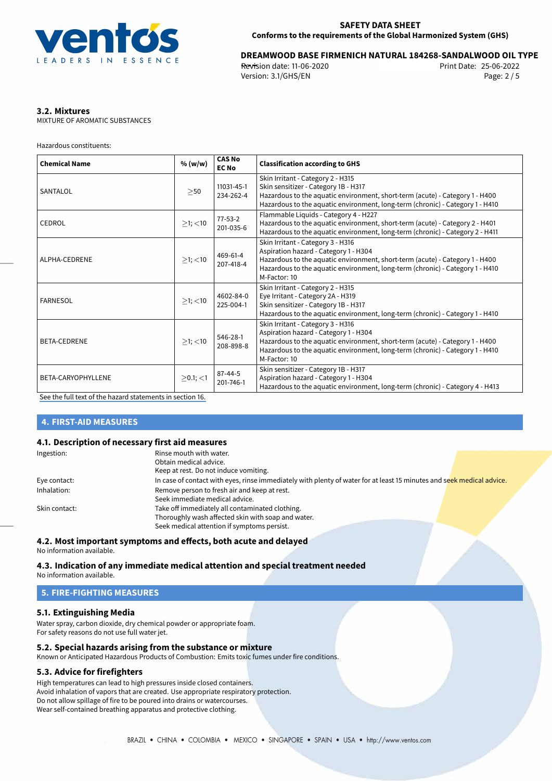

# 25-06-2022 **DREAMWOOD BASE FIRMENICH NATURAL 184268-SANDALWOOD OIL TYPE**

**Revision date: 11-06-2020** Print Date: Version: 3.1/GHS/EN Page: 2 / 5

# **3.2. Mixtures**

MIXTURE OF AROMATIC SUBSTANCES

Hazardous constituents:

| <b>Chemical Name</b> | % (w/w)        | <b>CAS No</b><br><b>EC No</b> | <b>Classification according to GHS</b>                                                                                                                                                                                                                      |
|----------------------|----------------|-------------------------------|-------------------------------------------------------------------------------------------------------------------------------------------------------------------------------------------------------------------------------------------------------------|
| SANTALOL             | $>$ 50         | 11031-45-1<br>234-262-4       | Skin Irritant - Category 2 - H315<br>Skin sensitizer - Category 1B - H317<br>Hazardous to the aquatic environment, short-term (acute) - Category 1 - H400<br>Hazardous to the aquatic environment, long-term (chronic) - Category 1 - H410                  |
| CEDROL               | $>1$ ; $<$ 10  | $77 - 53 - 2$<br>201-035-6    | Flammable Liquids - Category 4 - H227<br>Hazardous to the aquatic environment, short-term (acute) - Category 2 - H401<br>Hazardous to the aquatic environment, long-term (chronic) - Category 2 - H411                                                      |
| ALPHA-CEDRENE        | $>1$ ; $<$ 10  | 469-61-4<br>207-418-4         | Skin Irritant - Category 3 - H316<br>Aspiration hazard - Category 1 - H304<br>Hazardous to the aquatic environment, short-term (acute) - Category 1 - H400<br>Hazardous to the aquatic environment, long-term (chronic) - Category 1 - H410<br>M-Factor: 10 |
| <b>FARNESOL</b>      | $>1$ ; $<$ 10  | 4602-84-0<br>225-004-1        | Skin Irritant - Category 2 - H315<br>Eye Irritant - Category 2A - H319<br>Skin sensitizer - Category 1B - H317<br>Hazardous to the aquatic environment, long-term (chronic) - Category 1 - H410                                                             |
| <b>BETA-CEDRENE</b>  | $>1$ ; $<$ 10  | 546-28-1<br>208-898-8         | Skin Irritant - Category 3 - H316<br>Aspiration hazard - Category 1 - H304<br>Hazardous to the aquatic environment, short-term (acute) - Category 1 - H400<br>Hazardous to the aquatic environment, long-term (chronic) - Category 1 - H410<br>M-Factor: 10 |
| BETA-CARYOPHYLLENE   | $>0.1$ ; $<$ 1 | $87 - 44 - 5$<br>201-746-1    | Skin sensitizer - Category 1B - H317<br>Aspiration hazard - Category 1 - H304<br>Hazardous to the aquatic environment, long-term (chronic) - Category 4 - H413                                                                                              |

[See the full text of the hazard statements in section 16.](#page-4-0)

### **4. FIRST-AID MEASURES**

#### **4.1. Description of necessary first aid measures**

| Ingestion:    | Rinse mouth with water.                                                                                               |
|---------------|-----------------------------------------------------------------------------------------------------------------------|
|               | Obtain medical advice.                                                                                                |
|               | Keep at rest. Do not induce vomiting.                                                                                 |
| Eye contact:  | In case of contact with eyes, rinse immediately with plenty of water for at least 15 minutes and seek medical advice. |
| Inhalation:   | Remove person to fresh air and keep at rest.                                                                          |
|               | Seek immediate medical advice.                                                                                        |
| Skin contact: | Take off immediately all contaminated clothing.                                                                       |
|               | Thoroughly wash affected skin with soap and water.                                                                    |
|               | Seek medical attention if symptoms persist.                                                                           |

#### **4.2. Most important symptoms and effects, both acute and delayed** No information available.

# **4.3. Indication of any immediate medical attention and special treatment needed**

No information available.

# **5. FIRE-FIGHTING MEASURES**

#### **5.1. Extinguishing Media**

Water spray, carbon dioxide, dry chemical powder or appropriate foam. For safety reasons do not use full water jet.

#### **5.2. Special hazards arising from the substance or mixture**

Known or Anticipated Hazardous Products of Combustion: Emits toxic fumes under fire conditions.

#### **5.3. Advice for firefighters**

High temperatures can lead to high pressures inside closed containers. Avoid inhalation of vapors that are created. Use appropriate respiratory protection. Do not allow spillage of fire to be poured into drains or watercourses. Wear self-contained breathing apparatus and protective clothing.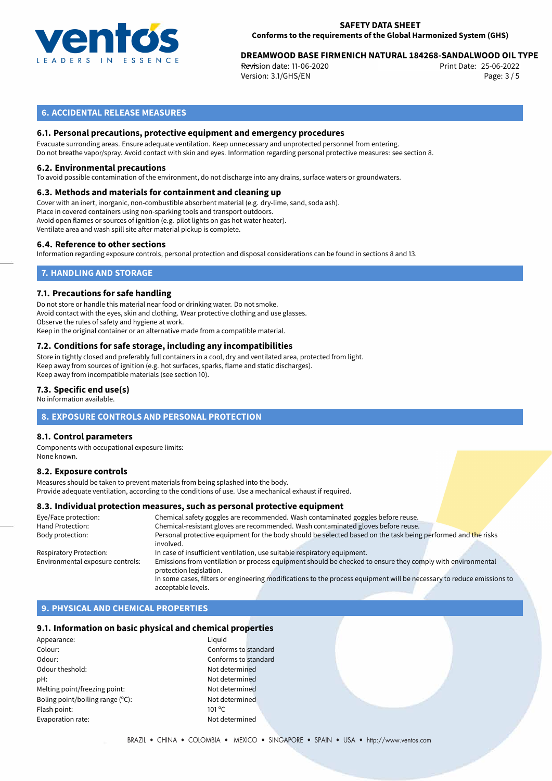

# 25-06-2022 **DREAMWOOD BASE FIRMENICH NATURAL 184268-SANDALWOOD OIL TYPE**

**Revision date: 11-06-2020** Print Date: Version: 3.1/GHS/EN Page: 3 / 5

### **6. ACCIDENTAL RELEASE MEASURES**

#### **6.1. Personal precautions, protective equipment and emergency procedures**

Evacuate surronding areas. Ensure adequate ventilation. Keep unnecessary and unprotected personnel from entering. Do not breathe vapor/spray. Avoid contact with skin and eyes. Information regarding personal protective measures: see section 8.

#### **6.2. Environmental precautions**

To avoid possible contamination of the environment, do not discharge into any drains, surface waters or groundwaters.

#### **6.3. Methods and materials for containment and cleaning up**

Cover with an inert, inorganic, non-combustible absorbent material (e.g. dry-lime, sand, soda ash). Place in covered containers using non-sparking tools and transport outdoors. Avoid open flames or sources of ignition (e.g. pilot lights on gas hot water heater). Ventilate area and wash spill site after material pickup is complete.

#### **6.4. Reference to other sections**

Information regarding exposure controls, personal protection and disposal considerations can be found in sections 8 and 13.

# **7. HANDLING AND STORAGE**

#### **7.1. Precautions for safe handling**

Do not store or handle this material near food or drinking water. Do not smoke. Avoid contact with the eyes, skin and clothing. Wear protective clothing and use glasses. Observe the rules of safety and hygiene at work. Keep in the original container or an alternative made from a compatible material.

# **7.2. Conditions for safe storage, including any incompatibilities**

Store in tightly closed and preferably full containers in a cool, dry and ventilated area, protected from light. Keep away from sources of ignition (e.g. hot surfaces, sparks, flame and static discharges). Keep away from incompatible materials (see section 10).

#### **7.3. Specific end use(s)**

No information available.

#### **8. EXPOSURE CONTROLS AND PERSONAL PROTECTION**

#### **8.1. Control parameters**

Components with occupational exposure limits: None known.

#### **8.2. Exposure controls**

Measures should be taken to prevent materials from being splashed into the body. Provide adequate ventilation, according to the conditions of use. Use a mechanical exhaust if required.

#### **8.3. Individual protection measures, such as personal protective equipment**

| Chemical safety goggles are recommended. Wash contaminated goggles before reuse.                                                      |
|---------------------------------------------------------------------------------------------------------------------------------------|
| Chemical-resistant gloves are recommended. Wash contaminated gloves before reuse.                                                     |
| Personal protective equipment for the body should be selected based on the task being performed and the risks<br>involved.            |
| In case of insufficient ventilation, use suitable respiratory equipment.                                                              |
| Emissions from ventilation or process equipment should be checked to ensure they comply with environmental<br>protection legislation. |
| In some cases, filters or engineering modifications to the process equipment will be necessary to reduce emissions to                 |
| acceptable levels.                                                                                                                    |
|                                                                                                                                       |

# **9. PHYSICAL AND CHEMICAL PROPERTIES**

#### **9.1. Information on basic physical and chemical properties**

| Appearance:                      | Liguid          |
|----------------------------------|-----------------|
| Colour:                          | Confo           |
| Odour:                           | Confo           |
| Odour theshold:                  | Not de          |
| pH:                              | Not de          |
| Melting point/freezing point:    | Not de          |
| Boling point/boiling range (°C): | Not de          |
| Flash point:                     | $101^{\circ}$ C |
| Evaporation rate:                | Not de          |
|                                  |                 |

Conforms to standard Conforms to standard Not determined Not determined Not determined Not determined Not determined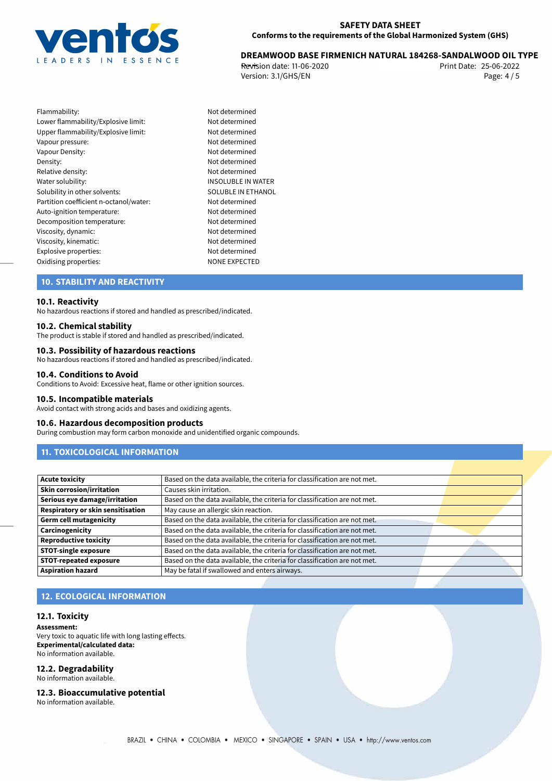

# 25-06-2022 **DREAMWOOD BASE FIRMENICH NATURAL 184268-SANDALWOOD OIL TYPE**

**Revision date: 11-06-2020** Print Date: Version: 3.1/GHS/EN Page: 4 / 5

| Flammability:                          |
|----------------------------------------|
| Lower flammability/Explosive limit:    |
| Upper flammability/Explosive limit:    |
| Vapour pressure:                       |
| Vapour Density:                        |
| Density:                               |
| Relative density:                      |
| Water solubility:                      |
| Solubility in other solvents:          |
| Partition coefficient n-octanol/water: |
| Auto-ignition temperature:             |
| Decomposition temperature:             |
| Viscosity, dynamic:                    |
| Viscosity, kinematic:                  |
| Explosive properties:                  |
| Oxidising properties:                  |

Not determined Not determined Not determined Not determined Not determined Not determined Not determined **INSOLUBLE IN WATER** SOLUBLE IN ETHANOL Not determined Not determined Not determined Not determined Not determined Not determined<br>NONE EXPECTED

# **10. STABILITY AND REACTIVITY**

#### **10.1. Reactivity**

No hazardous reactions if stored and handled as prescribed/indicated.

#### **10.2. Chemical stability**

The product is stable if stored and handled as prescribed/indicated.

#### **10.3. Possibility of hazardous reactions**

No hazardous reactions if stored and handled as prescribed/indicated.

#### **10.4. Conditions to Avoid**

Conditions to Avoid: Excessive heat, flame or other ignition sources.

#### **10.5. Incompatible materials**

Avoid contact with strong acids and bases and oxidizing agents.

#### **10.6. Hazardous decomposition products**

During combustion may form carbon monoxide and unidentified organic compounds.

# **11. TOXICOLOGICAL INFORMATION**

| <b>Acute toxicity</b>             | Based on the data available, the criteria for classification are not met. |  |
|-----------------------------------|---------------------------------------------------------------------------|--|
| Skin corrosion/irritation         | Causes skin irritation.                                                   |  |
| Serious eye damage/irritation     | Based on the data available, the criteria for classification are not met. |  |
| Respiratory or skin sensitisation | May cause an allergic skin reaction.                                      |  |
| Germ cell mutagenicity            | Based on the data available, the criteria for classification are not met. |  |
| Carcinogenicity                   | Based on the data available, the criteria for classification are not met. |  |
| Reproductive toxicity             | Based on the data available, the criteria for classification are not met. |  |
| STOT-single exposure              | Based on the data available, the criteria for classification are not met. |  |
| <b>STOT-repeated exposure</b>     | Based on the data available, the criteria for classification are not met. |  |
| <b>Aspiration hazard</b>          | May be fatal if swallowed and enters airways.                             |  |

# **12. ECOLOGICAL INFORMATION**

#### **12.1. Toxicity**

**Assessment:** Very toxic to aquatic life with long lasting effects. **Experimental/calculated data:** No information available.

# **12.2. Degradability**

No information available.

#### **12.3. Bioaccumulative potential**

No information available.